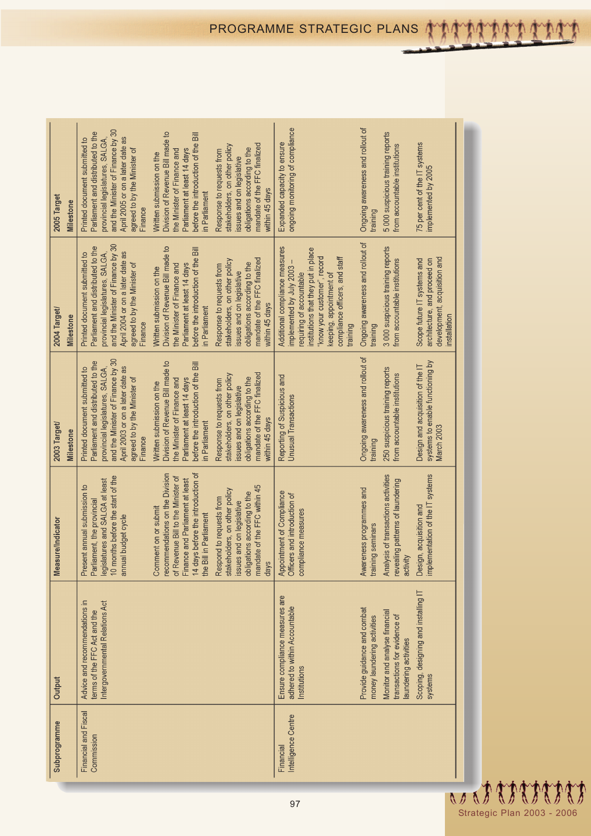| 2005 Target<br>Milestone  | and the Minister of Finance by 30<br>Parliament and distributed to the<br>Division of Revenue Bill made to<br>before the introduction of the Bill<br>Printed document submitted to<br>provincial legislatures, SALGA,<br>mandate of the FFC finalized<br>stakeholders, on other policy<br>April 2005 or on a later date<br>obligations according to the<br>Parliament at least 14 days<br>agreed to by the Minister of<br>the Minister of Finance and<br>Response to requests from<br>Written submission on the<br>issues and on legislative<br>within 45 days<br>in Parliament<br>Finance    | ongoing monitoring of compliance<br>Expanded capacity to ensure                                                                                                                                                                        | Ongoing awareness and rollout of<br>training               | 5000 suspicious training reports<br>from accountable institutions                     | 75 per cent of the IT systems<br>implemented by 2005                                                        |
|---------------------------|-----------------------------------------------------------------------------------------------------------------------------------------------------------------------------------------------------------------------------------------------------------------------------------------------------------------------------------------------------------------------------------------------------------------------------------------------------------------------------------------------------------------------------------------------------------------------------------------------|----------------------------------------------------------------------------------------------------------------------------------------------------------------------------------------------------------------------------------------|------------------------------------------------------------|---------------------------------------------------------------------------------------|-------------------------------------------------------------------------------------------------------------|
| 2004 Target/<br>Milestone | and the Minister of Finance by 30<br>Parliament and distributed to the<br>Division of Revenue Bill made to<br>before the introduction of the Bill<br>provincial legislatures, SALGA,<br>April 2004 or on a later date as<br>Printed document submitted to<br>mandate of the FFC finalized<br>stakeholders, on other policy<br>obligations according to the<br>agreed to by the Minister of<br>Parliament at least 14 days<br>the Minister of Finance and<br>Response to requests from<br>Written submission on the<br>issues and on legislative<br>within 45 days<br>in Parliament<br>Finance | Additional compliance measures<br>institutions that they put in place<br>"know your customer", record<br>compliance officers, and staff<br>implemented by July 2003<br>keeping, appointment of<br>requiring of accountable<br>training | Ongoing awareness and rollout of<br>training               | 3 000 suspicious training reports<br>from accountable institutions                    | development, acquisition and<br>Scope future IT systems and<br>architecture, and proceed on<br>installation |
| 2003 Target/<br>Milestone | and the Minister of Finance by 30<br>Parliament and distributed to the<br>Division of Revenue Bill made to<br>before the introduction of the Bill<br>provincial legislatures, SALGA,<br>Printed document submitted to<br>April 2003 or on a later date as<br>mandate of the FFC finalized<br>stakeholders, on other policy<br>obligations according to the<br>agreed to by the Minister of<br>Parliament at least 14 days<br>the Minister of Finance and<br>Response to requests from<br>Written submission on the<br>issues and on legislative<br>within 45 days<br>in Parliament<br>Finance | Reporting of Suspicious and<br><b>Unusual Transactions</b>                                                                                                                                                                             | Ongoing awareness and rollout of<br>training               | 250 suspicious training reports<br>from accountable institutions                      | systems to enable functioning by<br>Design and acquisition of the IT<br>March 2003                          |
| Measure/Indicator         | 14 days before the introduction of<br>recommendations on the Division<br>10 months before the start of the<br>of Revenue Bill to the Minister of<br>Finance and Parliament at least<br>legislatures and SALGA at least<br>Present annual submission to<br>Parliament, the provincial<br>mandate of the FFC within 45<br>stakeholders, on other policy<br>obligations according to the<br>Respond to requests from<br>issues and on legislative<br>Comment on or submit<br>the Bill in Parliament<br>annual budget cycle<br>days                                                               | Appointment of Compliance<br>Officers and introduction of<br>compliance measures                                                                                                                                                       | Awareness programmes and<br>training seminars              | Analysis of transactions activities<br>revealing patterns of laundering<br>activity   | implementation of the IT systems<br>Design, acquisition and                                                 |
| Output                    | Advice and recommendations in<br>Intergovernmental Relations Act<br>terms of the FFC Act and the                                                                                                                                                                                                                                                                                                                                                                                                                                                                                              | Ensure compliance measures are<br>adhered to within Accountable<br>Institutions                                                                                                                                                        | Provide guidance and combat<br>money laundering activities | Monitor and analyse financial<br>transactions for evidence of<br>aundering activities | Scoping, designing and installing IT<br>systems                                                             |
| Subprogramme              | Financial and Fiscal<br>Commission                                                                                                                                                                                                                                                                                                                                                                                                                                                                                                                                                            | Intelligence Centre<br>Financial                                                                                                                                                                                                       |                                                            |                                                                                       |                                                                                                             |

**DEL LA LA LA LA LA** Strategic Plan 2003 - 2006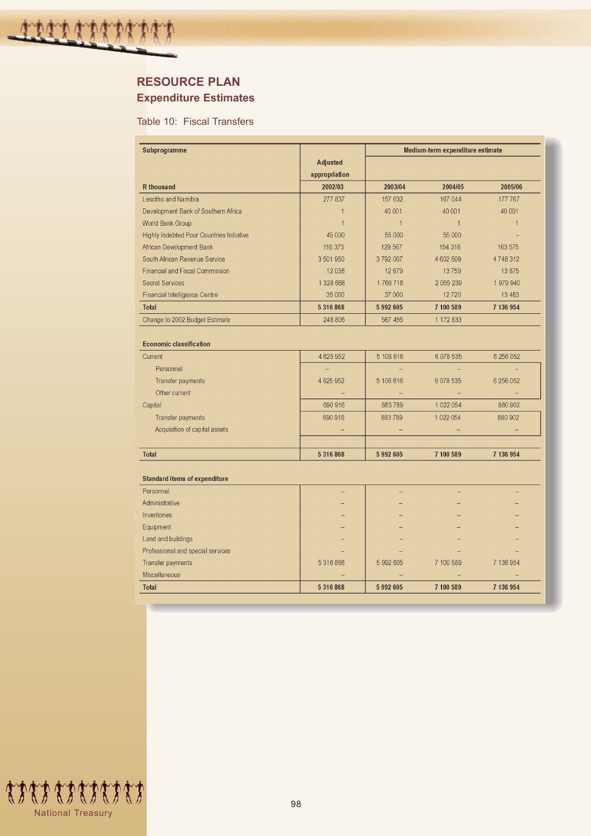# **RESOURCE PLAN Expenditure Estimates**

Table 10: Fiscal Transfers

| Subprogramme                                     |               | Medium-term expenditure estimate |                |                |  |
|--------------------------------------------------|---------------|----------------------------------|----------------|----------------|--|
|                                                  | Adjusted      |                                  |                |                |  |
|                                                  | appropriation |                                  |                |                |  |
| <b>R</b> thousand                                | 2002/03       | 2003/04                          | 2004/05        | 2005/06        |  |
| Lesotho and Namibia                              | 277 837       | 157 632                          | 167 044        | 177 767        |  |
| Development Bank of Southern Africa              | $\mathbf{1}$  | 40 001                           | 40 001         | 40 001         |  |
| World Bank Group                                 | $\mathbf{1}$  | $\overline{1}$                   | $\overline{1}$ | $\overline{1}$ |  |
| <b>Highly Indebted Poor Countries Initiative</b> | 45 000        | 55 000                           | 55 000         |                |  |
| African Development Bank                         | 116 373       | 129 567                          | 154 316        | 163 575        |  |
| South African Revenue Service                    | 3 501 950     | 3792007                          | 4 602 509      | 4748312        |  |
| <b>Financial and Fiscal Commission</b>           | 12 0 38       | 12679                            | 13759          | 13 875         |  |
| <b>Secret Services</b>                           | 1 328 668     | 1768718                          | 2055239        | 1979940        |  |
| <b>Financial Intelligence Centre</b>             | 35 000        | 37 000                           | 12720          | 13 4 83        |  |
| <b>Total</b>                                     | 5 316 868     | 5992605                          | 7 100 589      | 7 136 954      |  |
| Change to 2002 Budget Estimate                   | 248 805       | 567 455                          | 1 172 833      |                |  |
|                                                  |               |                                  |                |                |  |
| <b>Economic classification</b>                   |               |                                  |                |                |  |
| Current                                          | 4 625 952     | 5 108 816                        | 6 078 535      | 6 256 052      |  |
| Personnel                                        |               |                                  |                |                |  |
| Transfer payments                                | 4 625 952     | 5 108 816                        | 6 078 535      | 6 256 052      |  |
| Other current                                    |               |                                  |                |                |  |
| Capital                                          | 690 916       | 883789                           | 1 0 2 2 0 5 4  | 880 902        |  |
| <b>Transfer payments</b>                         | 690 916       | 883789                           | 1 0 2 2 0 5 4  | 880 902        |  |
| Acquisition of capital assets                    |               |                                  |                |                |  |
|                                                  |               |                                  |                |                |  |
| <b>Total</b>                                     | 5 316 868     | 5992605                          | 7 100 589      | 7 136 954      |  |
|                                                  |               |                                  |                |                |  |
| <b>Standard items of expenditure</b>             |               |                                  |                |                |  |
| Personnel                                        |               |                                  |                |                |  |
| Administrative                                   |               |                                  |                |                |  |
| Inventories                                      |               |                                  |                |                |  |
| Equipment                                        |               |                                  |                |                |  |
| Land and buildings                               |               |                                  |                |                |  |
| Professional and special services                |               |                                  |                |                |  |
| Transfer payments                                | 5316868       | 5 992 605                        | 7 100 589      | 7 136 954      |  |
| Miscellaneous                                    |               |                                  |                |                |  |
| <b>Total</b>                                     | 5 316 868     | 5992605                          | 7 100 589      | 7 136 954      |  |

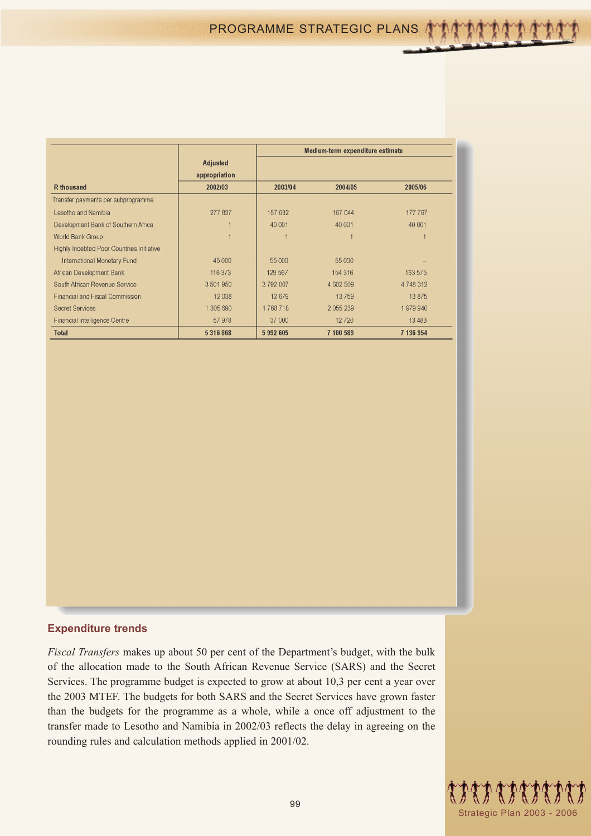|                                                  |                 |         | Medium-term expenditure estimate |           |  |
|--------------------------------------------------|-----------------|---------|----------------------------------|-----------|--|
|                                                  | <b>Adjusted</b> |         |                                  |           |  |
|                                                  | appropriation   |         |                                  |           |  |
| <b>R</b> thousand                                | 2002/03         | 2003/04 | 2004/05                          | 2005/06   |  |
| Transfer payments per subprogramme               |                 |         |                                  |           |  |
| Lesotho and Namibia                              | 277 837         | 157 632 | 167 044                          | 177 767   |  |
| Development Bank of Southern Africa              |                 | 40 001  | 40 001                           | 40 001    |  |
| World Bank Group                                 |                 |         |                                  |           |  |
| <b>Highly Indebted Poor Countries Initiative</b> |                 |         |                                  |           |  |
| <b>International Monetary Fund</b>               | 45 000          | 55 000  | 55 000                           |           |  |
| African Development Bank                         | 116 373         | 129 567 | 154 316                          | 163 575   |  |
| South African Revenue Service                    | 3501950         | 3792007 | 4 602 509                        | 4 748 312 |  |
| <b>Financial and Fiscal Commission</b>           | 12038           | 12 679  | 13759                            | 13 875    |  |
| <b>Secret Services</b>                           | 1 305 690       | 1768718 | 2 0 5 239                        | 1979940   |  |
| <b>Financial Intelligence Centre</b>             | 57978           | 37 000  | 12720                            | 13 4 83   |  |
| <b>Total</b>                                     | 5316868         | 5992605 | 7 100 589                        | 7 136 954 |  |

### **Expenditure trends**

*Fiscal Transfers* makes up about 50 per cent of the Department's budget, with the bulk of the allocation made to the South African Revenue Service (SARS) and the Secret Services. The programme budget is expected to grow at about 10,3 per cent a year over the 2003 MTEF. The budgets for both SARS and the Secret Services have grown faster than the budgets for the programme as a whole, while a once off adjustment to the transfer made to Lesotho and Namibia in 2002/03 reflects the delay in agreeing on the rounding rules and calculation methods applied in 2001/02.

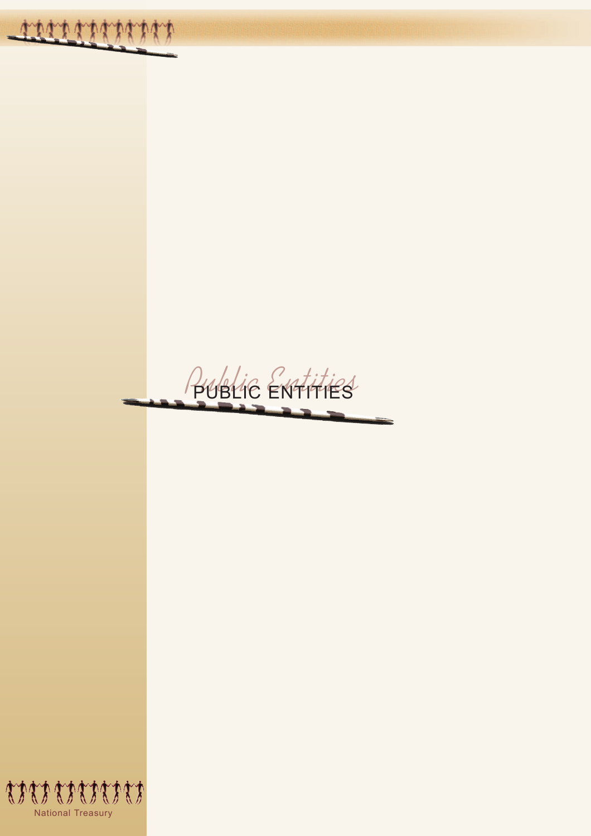*Public Entities* PUBLIC ENTITIES

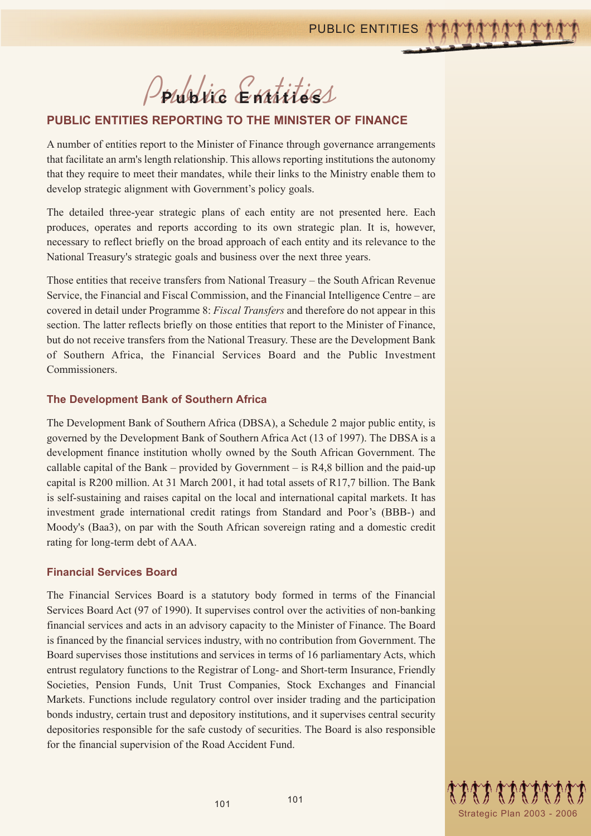*Public Entities* **Public Entities** 

## **PUBLIC ENTITIES REPORTING TO THE MINISTER OF FINANCE**

A number of entities report to the Minister of Finance through governance arrangements that facilitate an arm's length relationship. This allows reporting institutions the autonomy that they require to meet their mandates, while their links to the Ministry enable them to develop strategic alignment with Government's policy goals.

The detailed three-year strategic plans of each entity are not presented here. Each produces, operates and reports according to its own strategic plan. It is, however, necessary to reflect briefly on the broad approach of each entity and its relevance to the National Treasury's strategic goals and business over the next three years.

Those entities that receive transfers from National Treasury – the South African Revenue Service, the Financial and Fiscal Commission, and the Financial Intelligence Centre – are covered in detail under Programme 8: *Fiscal Transfers* and therefore do not appear in this section. The latter reflects briefly on those entities that report to the Minister of Finance, but do not receive transfers from the National Treasury. These are the Development Bank of Southern Africa, the Financial Services Board and the Public Investment Commissioners.

#### **The Development Bank of Southern Africa**

The Development Bank of Southern Africa (DBSA), a Schedule 2 major public entity, is governed by the Development Bank of Southern Africa Act (13 of 1997). The DBSA is a development finance institution wholly owned by the South African Government. The callable capital of the Bank – provided by Government – is  $R4,8$  billion and the paid-up capital is R200 million. At 31 March 2001, it had total assets of R17,7 billion. The Bank is self-sustaining and raises capital on the local and international capital markets. It has investment grade international credit ratings from Standard and Poor's (BBB-) and Moody's (Baa3), on par with the South African sovereign rating and a domestic credit rating for long-term debt of AAA.

#### **Financial Services Board**

The Financial Services Board is a statutory body formed in terms of the Financial Services Board Act (97 of 1990). It supervises control over the activities of non-banking financial services and acts in an advisory capacity to the Minister of Finance. The Board is financed by the financial services industry, with no contribution from Government. The Board supervises those institutions and services in terms of 16 parliamentary Acts, which entrust regulatory functions to the Registrar of Long- and Short-term Insurance, Friendly Societies, Pension Funds, Unit Trust Companies, Stock Exchanges and Financial Markets. Functions include regulatory control over insider trading and the participation bonds industry, certain trust and depository institutions, and it supervises central security depositories responsible for the safe custody of securities. The Board is also responsible for the financial supervision of the Road Accident Fund.



101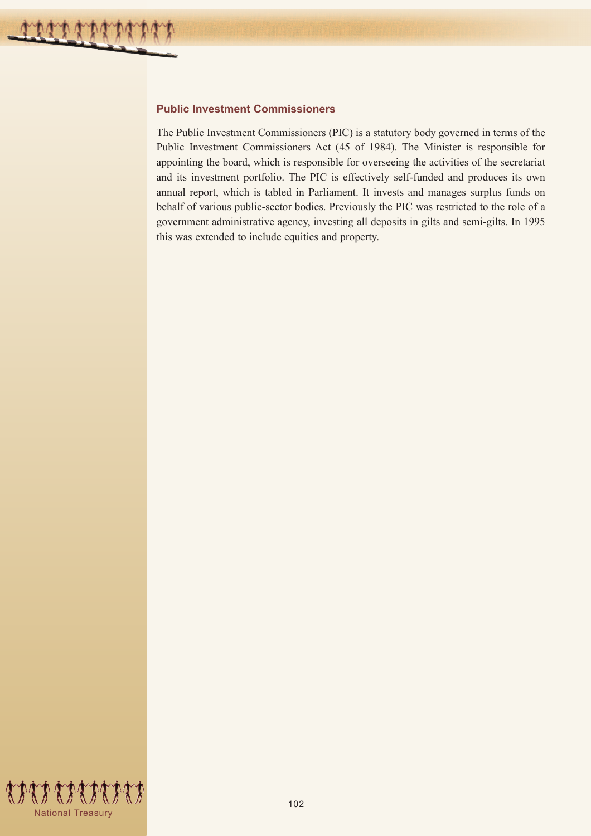### **Public Investment Commissioners**

The Public Investment Commissioners (PIC) is a statutory body governed in terms of the Public Investment Commissioners Act (45 of 1984). The Minister is responsible for appointing the board, which is responsible for overseeing the activities of the secretariat and its investment portfolio. The PIC is effectively self-funded and produces its own annual report, which is tabled in Parliament. It invests and manages surplus funds on behalf of various public-sector bodies. Previously the PIC was restricted to the role of a government administrative agency, investing all deposits in gilts and semi-gilts. In 1995 this was extended to include equities and property.

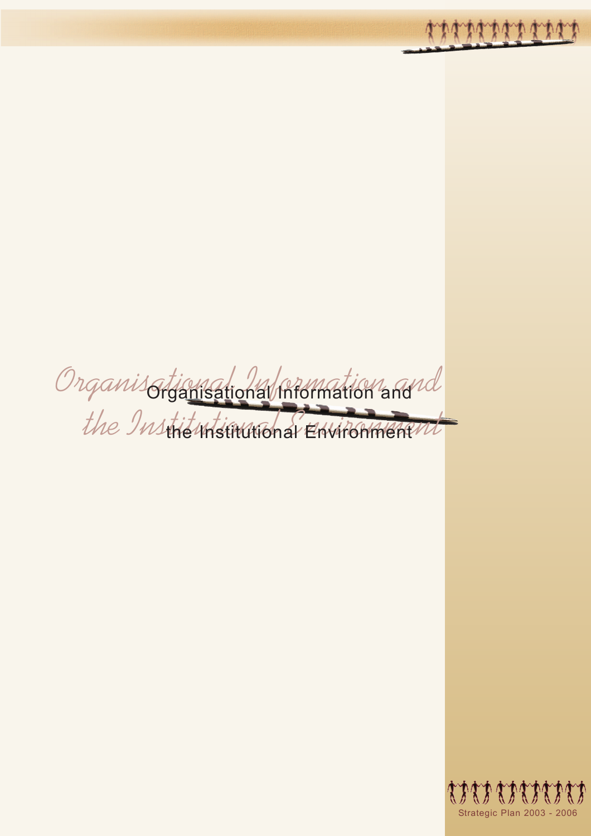*Organisational Information and the Institutional Environment* Organisational Information and the Institutional Environment

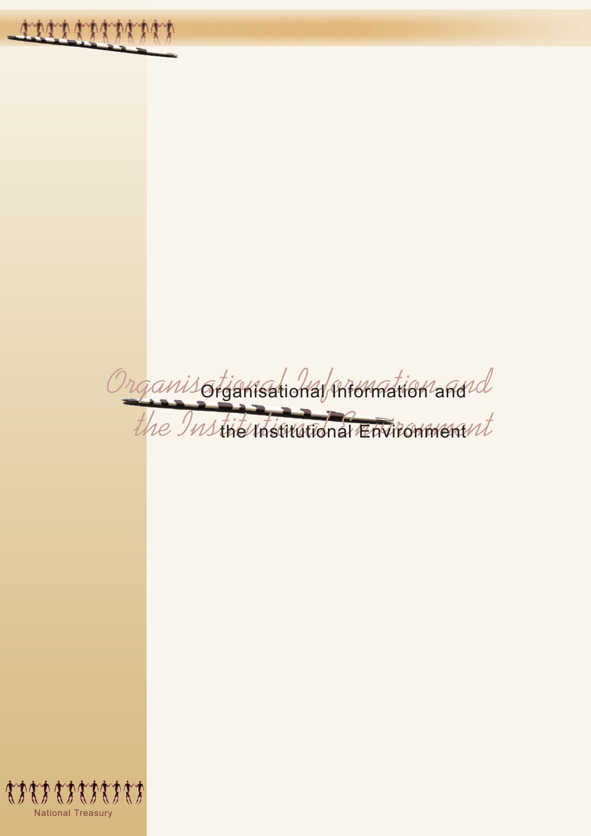*Organisational Information and* Organisational Information and *the Institutional Environment* the Institutional Environment